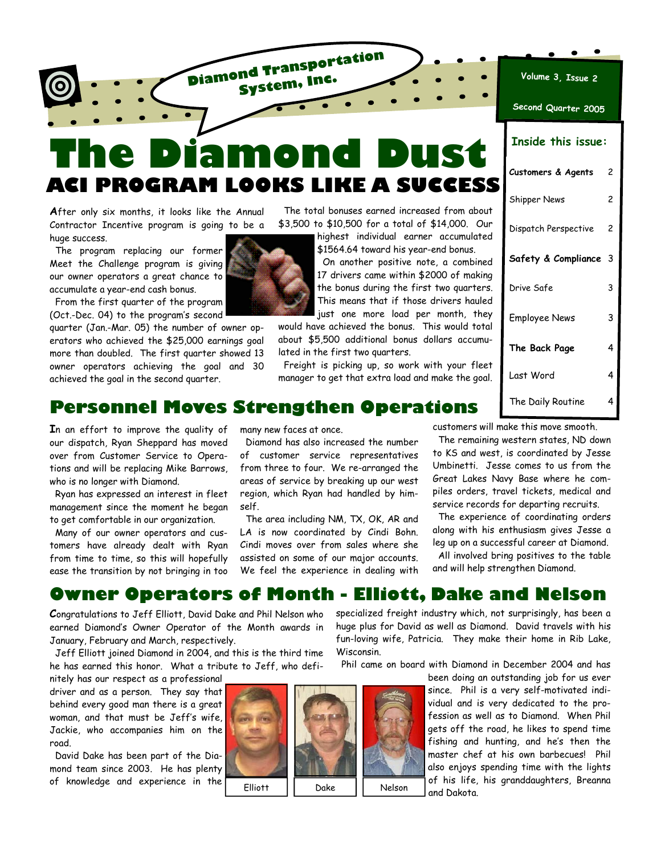# **The Diamond Dust ACI PROGRAM LOOKS LIKE A SUCCESS**

**Diamond Transportation System, Inc.**

After only six months, it looks like the Annual Contractor Incentive program is going to be a huge success.

 The program replacing our former Meet the Challenge program is giving our owner operators a great chance to accumulate a year-end cash bonus.

 From the first quarter of the program (Oct.-Dec. 04) to the program's second

quarter (Jan.-Mar. 05) the number of owner operators who achieved the \$25,000 earnings goal more than doubled. The first quarter showed 13 owner operators achieving the goal and 30 achieved the goal in the second quarter.

\$3,500 to \$10,500 for a total of \$14,000. Our highest individual earner accumulated \$1564.64 toward his year-end bonus.

The total bonuses earned increased from about

 On another positive note, a combined 17 drivers came within \$2000 of making the bonus during the first two quarters. This means that if those drivers hauled just one more load per month, they

would have achieved the bonus. This would total about \$5,500 additional bonus dollars accumulated in the first two quarters.

 Freight is picking up, so work with your fleet manager to get that extra load and make the goal.

| Second Quarter 2005       |                |
|---------------------------|----------------|
| <b>Inside this issue:</b> |                |
| Customers & Agents        | $\overline{c}$ |
| Shipper News              | 2              |
| Dispatch Perspective      | 2              |
| Safety & Compliance       | 3              |
| Drive Safe                | 3              |
| <b>Employee News</b>      | 3              |
| The Back Page             | 4              |
| Last Word                 | 4              |
| The Daily Routine         | 4              |

**Volume 3, Issue 2**

## **Personnel Moves Strengthen Operations**

**I**n an effort to improve the quality of our dispatch, Ryan Sheppard has moved over from Customer Service to Operations and will be replacing Mike Barrows, who is no longer with Diamond.

 Ryan has expressed an interest in fleet management since the moment he began to get comfortable in our organization.

 Many of our owner operators and customers have already dealt with Ryan from time to time, so this will hopefully ease the transition by not bringing in too many new faces at once.

 Diamond has also increased the number of customer service representatives from three to four. We re-arranged the areas of service by breaking up our west region, which Ryan had handled by himself.

 The area including NM, TX, OK, AR and LA is now coordinated by Cindi Bohn. Cindi moves over from sales where she assisted on some of our major accounts. We feel the experience in dealing with

customers will make this move smooth.

 The remaining western states, ND down to KS and west, is coordinated by Jesse Umbinetti. Jesse comes to us from the Great Lakes Navy Base where he compiles orders, travel tickets, medical and service records for departing recruits.

 The experience of coordinating orders along with his enthusiasm gives Jesse a leg up on a successful career at Diamond.

 All involved bring positives to the table and will help strengthen Diamond.

## **Owner Operators of Month - Elliott, Dake and Nelson**

**C**ongratulations to Jeff Elliott, David Dake and Phil Nelson who earned Diamond's Owner Operator of the Month awards in January, February and March, respectively.

 Jeff Elliott joined Diamond in 2004, and this is the third time he has earned this honor. What a tribute to Jeff, who defi-

nitely has our respect as a professional driver and as a person. They say that behind every good man there is a great woman, and that must be Jeff's wife, Jackie, who accompanies him on the road.

 David Dake has been part of the Diamond team since 2003. He has plenty of knowledge and experience in the





specialized freight industry which, not surprisingly, has been a huge plus for David as well as Diamond. David travels with his fun-loving wife, Patricia. They make their home in Rib Lake, Wisconsin.

Phil came on board with Diamond in December 2004 and has

been doing an outstanding job for us ever since. Phil is a very self-motivated individual and is very dedicated to the profession as well as to Diamond. When Phil gets off the road, he likes to spend time fishing and hunting, and he's then the master chef at his own barbecues! Phil also enjoys spending time with the lights of his life, his granddaughters, Breanna  $Elliott$  Dake Reson and Dakota.

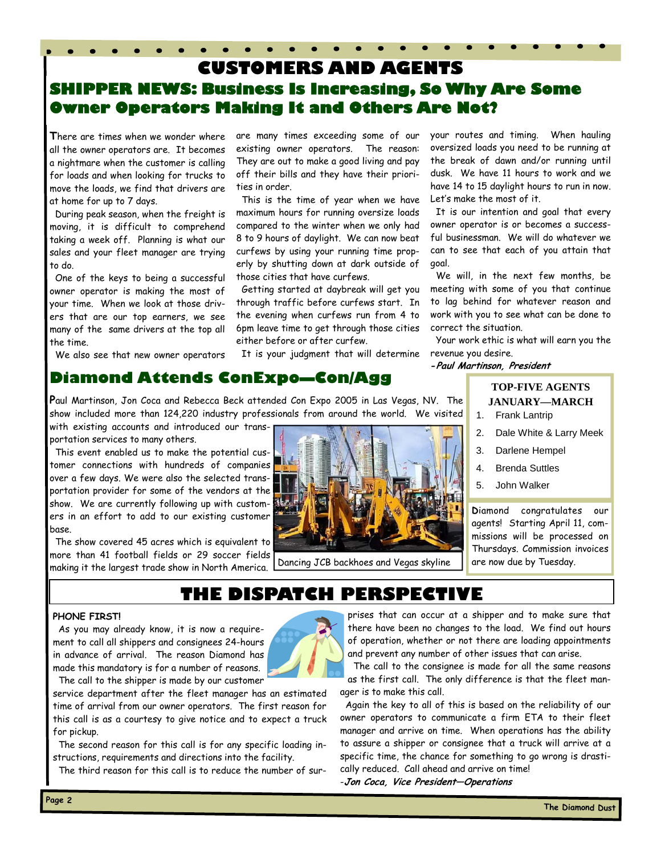## **SHIPPER NEWS: Business Is Increasing, So Why Are Some Owner Operators Making It and Others Are Not? CUSTOMERS AND AGENTS**

**T**here are times when we wonder where all the owner operators are. It becomes a nightmare when the customer is calling for loads and when looking for trucks to move the loads, we find that drivers are at home for up to 7 days.

 During peak season, when the freight is moving, it is difficult to comprehend taking a week off. Planning is what our sales and your fleet manager are trying to do.

 One of the keys to being a successful owner operator is making the most of your time. When we look at those drivers that are our top earners, we see many of the same drivers at the top all the time.

We also see that new owner operators

are many times exceeding some of our existing owner operators. The reason: They are out to make a good living and pay off their bills and they have their priorities in order.

 This is the time of year when we have maximum hours for running oversize loads compared to the winter when we only had 8 to 9 hours of daylight. We can now beat curfews by using your running time properly by shutting down at dark outside of those cities that have curfews.

 Getting started at daybreak will get you through traffic before curfews start. In the evening when curfews run from 4 to 6pm leave time to get through those cities either before or after curfew.

It is your judgment that will determine

your routes and timing. When hauling oversized loads you need to be running at the break of dawn and/or running until dusk. We have 11 hours to work and we have 14 to 15 daylight hours to run in now. Let's make the most of it.

 It is our intention and goal that every owner operator is or becomes a successful businessman. We will do whatever we can to see that each of you attain that goal.

 We will, in the next few months, be meeting with some of you that continue to lag behind for whatever reason and work with you to see what can be done to correct the situation.

 Your work ethic is what will earn you the revenue you desire.

#### **-Paul Martinson, President**

## **Diamond Attends ConExpo—Con/Agg**

**P**aul Martinson, Jon Coca and Rebecca Beck attended Con Expo 2005 in Las Vegas, NV. The show included more than 124,220 industry professionals from around the world. We visited

with existing accounts and introduced our transportation services to many others.

 This event enabled us to make the potential customer connections with hundreds of companies over a few days. We were also the selected transportation provider for some of the vendors at the show. We are currently following up with customers in an effort to add to our existing customer base.

 The show covered 45 acres which is equivalent to more than 41 football fields or 29 soccer fields making it the largest trade show in North America.



Dancing JCB backhoes and Vegas skyline

**TOP-FIVE AGENTS JANUARY—MARCH** 

- 1. Frank Lantrip
- 2. Dale White & Larry Meek
- 3. Darlene Hempel
- 4. Brenda Suttles
- 5. John Walker

**D**iamond congratulates our agents! Starting April 11, commissions will be processed on Thursdays. Commission invoices are now due by Tuesday.

## **THE DISPATCH PERSPECTIVE**

#### **PHONE FIRST!**

 As you may already know, it is now a requirement to call all shippers and consignees 24-hours in advance of arrival. The reason Diamond has made this mandatory is for a number of reasons. The call to the shipper is made by our customer



service department after the fleet manager has an estimated time of arrival from our owner operators. The first reason for this call is as a courtesy to give notice and to expect a truck for pickup.

 The second reason for this call is for any specific loading instructions, requirements and directions into the facility.

The third reason for this call is to reduce the number of sur-

prises that can occur at a shipper and to make sure that there have been no changes to the load. We find out hours of operation, whether or not there are loading appointments and prevent any number of other issues that can arise.

 The call to the consignee is made for all the same reasons as the first call. The only difference is that the fleet manager is to make this call.

 Again the key to all of this is based on the reliability of our owner operators to communicate a firm ETA to their fleet manager and arrive on time. When operations has the ability to assure a shipper or consignee that a truck will arrive at a specific time, the chance for something to go wrong is drastically reduced. Call ahead and arrive on time! -**Jon Coca, Vice President—Operations**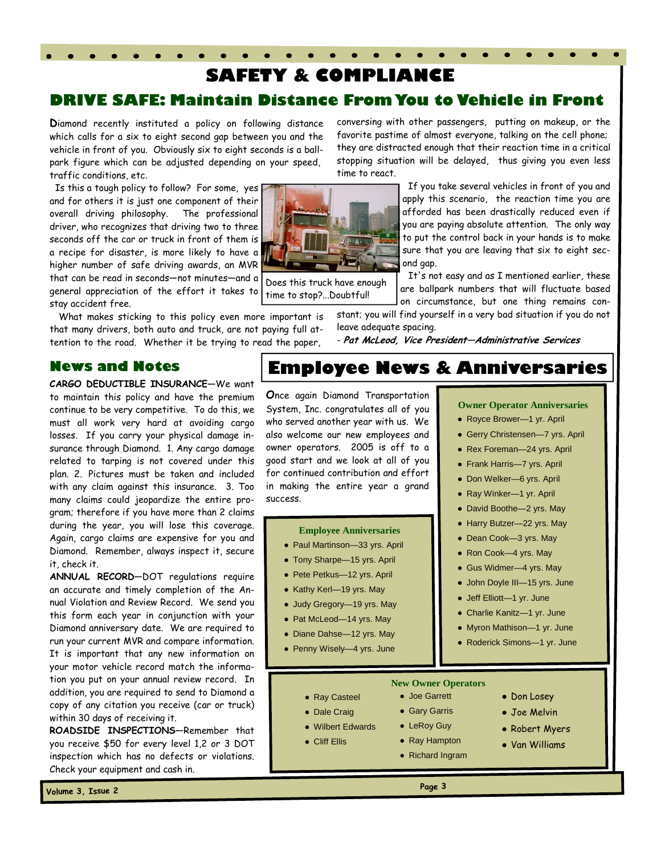## **Volume 3, Issue <sup>2</sup> Page <sup>3</sup>**

## **SAFETY & COMPLIANCE**

## **DRIVE SAFE: Maintain Distance From You to Vehicle in Front**

Does this truck have enough time to stop?...Doubtful!

**D**iamond recently instituted a policy on following distance which calls for a six to eight second gap between you and the vehicle in front of you. Obviously six to eight seconds is a ballpark figure which can be adjusted depending on your speed, traffic conditions, etc.

 Is this a tough policy to follow? For some, yes and for others it is just one component of their overall driving philosophy. The professional driver, who recognizes that driving two to three seconds off the car or truck in front of them is a recipe for disaster, is more likely to have a higher number of safe driving awards, an MVR that can be read in seconds—not minutes—and a general appreciation of the effort it takes to stay accident free.

 What makes sticking to this policy even more important is that many drivers, both auto and truck, are not paying full attention to the road. Whether it be trying to read the paper,

conversing with other passengers, putting on makeup, or the favorite pastime of almost everyone, talking on the cell phone; they are distracted enough that their reaction time in a critical stopping situation will be delayed, thus giving you even less time to react.

> If you take several vehicles in front of you and apply this scenario, the reaction time you are afforded has been drastically reduced even if you are paying absolute attention. The only way to put the control back in your hands is to make sure that you are leaving that six to eight second gap.

> It's not easy and as I mentioned earlier, these are ballpark numbers that will fluctuate based on circumstance, but one thing remains con-

stant; you will find yourself in a very bad situation if you do not leave adequate spacing.

- **Pat McLeod, Vice President—Administrative Services**

#### **News and Notes**

**CARGO DEDUCTIBLE INSURANCE**—We want to maintain this policy and have the premium continue to be very competitive. To do this, we must all work very hard at avoiding cargo losses. If you carry your physical damage insurance through Diamond. 1. Any cargo damage related to tarping is not covered under this plan. 2. Pictures must be taken and included with any claim against this insurance. 3. Too many claims could jeopardize the entire program; therefore if you have more than 2 claims during the year, you will lose this coverage. Again, cargo claims are expensive for you and Diamond. Remember, always inspect it, secure it, check it.

**ANNUAL RECORD**—DOT regulations require an accurate and timely completion of the Annual Violation and Review Record. We send you this form each year in conjunction with your Diamond anniversary date. We are required to run your current MVR and compare information. It is important that any new information on your motor vehicle record match the information you put on your annual review record. In addition, you are required to send to Diamond a copy of any citation you receive (car or truck) within 30 days of receiving it.

**ROADSIDE INSPECTIONS**—Remember that you receive \$50 for every level 1,2 or 3 DOT inspection which has no defects or violations. Check your equipment and cash in.

## **Employee News & Anniversaries**

**O**nce again Diamond Transportation System, Inc. congratulates all of you who served another year with us. We also welcome our new employees and owner operators. 2005 is off to a good start and we look at all of you for continued contribution and effort in making the entire year a grand success.

#### **Employee Anniversaries**

- Paul Martinson—33 yrs. April
- Tony Sharpe-15 yrs. April
- Pete Petkus—12 yrs. April
- Kathy Kerl-19 yrs. May
- Judy Gregory—19 yrs. May
- Pat McLeod-14 yrs. May
- 

#### **Owner Operator Anniversaries**

- Royce Brower—1 yr. April
- Gerry Christensen—7 yrs. April
- Rex Foreman—24 yrs. April
- Frank Harris—7 yrs. April
- Don Welker-6 yrs. April
- Ray Winker—1 yr. April
- David Boothe—2 yrs. May
- Harry Butzer—22 yrs. May
- Dean Cook—3 yrs. May
- Ron Cook-4 yrs. May
- Gus Widmer-4 yrs. May
- John Doyle III—15 yrs. June
- Jeff Elliott—1 yr. June
- Charlie Kanitz—1 yr. June
- Myron Mathison—1 yr. June
- Roderick Simons—1 yr. June

#### **New Owner Operators**  ● Joe Garrett

● Gary Garris ● LeRoy Guy ● Ray Hampton ● Richard Ingram

- Ray Casteel
- Dale Craig
- Wilbert Edwards
- Cliff Ellis
- Don Losey
- Joe Melvin
- Robert Myers
- Van Williams
- 
- Diane Dahse—12 yrs. May
- Penny Wisely-4 yrs. June